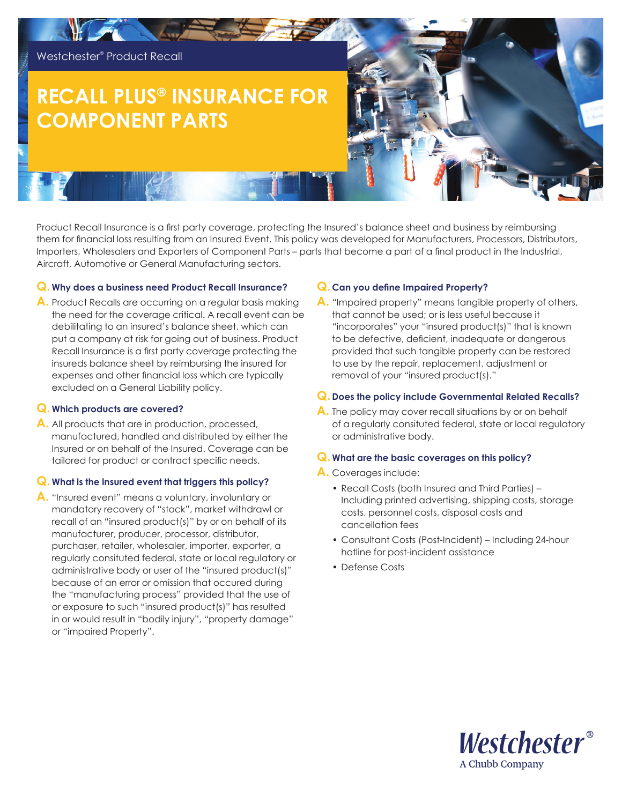

# **RECALL PLUS® INSURANCE FOR COMPONENT PARTS**

Product Recall Insurance is a first party coverage, protecting the Insured's balance sheet and business by reimbursing them for financial loss resulting from an Insured Event. This policy was developed for Manufacturers, Processors, Distributors, Importers, Wholesalers and Exporters of Component Parts – parts that become a part of a final product in the Industrial, Aircraft, Automotive or General Manufacturing sectors.

### **Q. Why does a business need Product Recall Insurance?**

**A.** Product Recalls are occurring on a regular basis making the need for the coverage critical. A recall event can be debilitating to an insured's balance sheet, which can put a company at risk for going out of business. Product Recall Insurance is a first party coverage protecting the insureds balance sheet by reimbursing the insured for expenses and other financial loss which are typically excluded on a General Liability policy.

#### **Q. Which products are covered?**

**A.** All products that are in production, processed, manufactured, handled and distributed by either the Insured or on behalf of the Insured. Coverage can be tailored for product or contract specific needs.

## **Q. What is the insured event that triggers this policy?**

**A.** "Insured event" means a voluntary, involuntary or mandatory recovery of "stock", market withdrawl or recall of an "insured product(s)" by or on behalf of its manufacturer, producer, processor, distributor, purchaser, retailer, wholesaler, importer, exporter, a regularly consituted federal, state or local regulatory or administrative body or user of the "insured product(s)" because of an error or omission that occured during the "manufacturing process" provided that the use of or exposure to such "insured product(s)" has resulted in or would result in "bodily injury", "property damage" or "impaired Property".

# **Q. Can you define Impaired Property?**

**A.** "Impaired property" means tangible property of others, that cannot be used; or is less useful because it "incorporates" your "insured product(s)" that is known to be defective, deficient, inadequate or dangerous provided that such tangible property can be restored to use by the repair, replacement, adjustment or removal of your "insured product(s)."

## **Q. Does the policy include Governmental Related Recalls?**

**A.** The policy may cover recall situations by or on behalf of a regularly consituted federal, state or local regulatory or administrative body.

## **Q. What are the basic coverages on this policy?**

#### **A.** Coverages include:

- Recall Costs (both Insured and Third Parties) Including printed advertising, shipping costs, storage costs, personnel costs, disposal costs and cancellation fees
- Consultant Costs (Post-Incident) Including 24-hour hotline for post-incident assistance
- Defense Costs